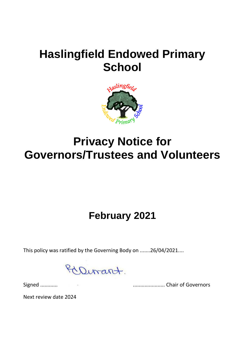# **Haslingfield Endowed Primary School**



# **Privacy Notice for Governors/Trustees and Volunteers**

### **February 2021**

This policy was ratified by the Governing Body on .......26/04/2021....

Dirant.

Signed ............ ...................... Chair of Governors

Next review date 2024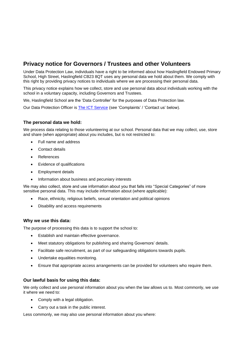### **Privacy notice for Governors / Trustees and other Volunteers**

Under Data Protection Law, individuals have a right to be informed about how Haslingfield Endowed Primary School, High Street, Haslingfield CB23 8QT uses any personal data we hold about them. We comply with this right by providing privacy notices to individuals where we are processing their personal data.

This privacy notice explains how we collect, store and use personal data about individuals working with the school in a voluntary capacity, including Governors and Trustees.

We, Haslingfield School are the 'Data Controller' for the purposes of Data Protection law.

Our Data Protection Officer is [The ICT Service](https://theictservice.org.uk/service/gdpr-dpo-service/) (see 'Complaints' / 'Contact us' below).

#### **The personal data we hold:**

We process data relating to those volunteering at our school. Personal data that we may collect, use, store and share (when appropriate) about you includes, but is not restricted to:

- Full name and address
- Contact details
- **References**
- Evidence of qualifications
- Employment details
- Information about business and pecuniary interests

We may also collect, store and use information about you that falls into "Special Categories" of more sensitive personal data. This may include information about (where applicable):

- Race, ethnicity, religious beliefs, sexual orientation and political opinions
- Disability and access requirements

#### **Why we use this data:**

The purpose of processing this data is to support the school to:

- Establish and maintain effective governance.
- Meet statutory obligations for publishing and sharing Governors' details.
- Facilitate safe recruitment, as part of our safeguarding obligations towards pupils.
- Undertake equalities monitoring.
- Ensure that appropriate access arrangements can be provided for volunteers who require them.

#### **Our lawful basis for using this data:**

We only collect and use personal information about you when the law allows us to. Most commonly, we use it where we need to:

- Comply with a legal obligation.
- Carry out a task in the public interest.

Less commonly, we may also use personal information about you where: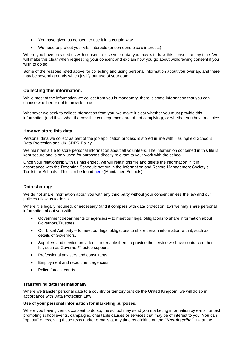- You have given us consent to use it in a certain way.
- We need to protect your vital interests (or someone else's interests).

Where you have provided us with consent to use your data, you may withdraw this consent at any time. We will make this clear when requesting your consent and explain how you go about withdrawing consent if you wish to do so.

Some of the reasons listed above for collecting and using personal information about you overlap, and there may be several grounds which justify our use of your data.

#### **Collecting this information:**

While most of the information we collect from you is mandatory, there is some information that you can choose whether or not to provide to us.

Whenever we seek to collect information from you, we make it clear whether you must provide this information (and if so, what the possible consequences are of not complying), or whether you have a choice.

#### **How we store this data:**

Personal data we collect as part of the job application process is stored in line with Haslingfield School's Data Protection and UK GDPR Policy.

We maintain a file to store personal information about all volunteers. The information contained in this file is kept secure and is only used for purposes directly relevant to your work with the school.

Once your relationship with us has ended, we will retain this file and delete the information in it in accordance with the Retention Schedule set out in the Information and Record Management Society's Toolkit for Schools. This can be found [here](http://irms.org.uk/?page=schoolstoolkit&terms=%22toolkit+and+schools%22) (Maintained Schools).

#### **Data sharing:**

We do not share information about you with any third party without your consent unless the law and our policies allow us to do so.

Where it is legally required, or necessary (and it complies with data protection law) we may share personal information about you with:

- Government departments or agencies to meet our legal obligations to share information about Governors/Trustees.
- Our Local Authority to meet our legal obligations to share certain information with it, such as details of Governors.
- Suppliers and service providers to enable them to provide the service we have contracted them for, such as Governor/Trustee support.
- Professional advisers and consultants.
- Employment and recruitment agencies.
- Police forces, courts.

#### **Transferring data internationally:**

Where we transfer personal data to a country or territory outside the United Kingdom, we will do so in accordance with Data Protection Law.

#### **Use of your personal information for marketing purposes:**

Where you have given us consent to do so, the school may send you marketing information by e-mail or text promoting school events, campaigns, charitable causes or services that may be of interest to you. You can "opt out" of receiving these texts and/or e-mails at any time by clicking on the *"Unsubscribe"* link at the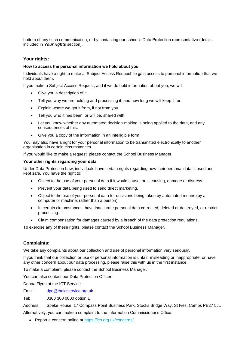bottom of any such communication, or by contacting our school's Data Protection representative (details included in *Your rights* section).

#### **Your rights:**

#### **How to access the personal information we hold about you**

Individuals have a right to make a 'Subject Access Request' to gain access to personal information that we hold about them.

If you make a Subject Access Request, and if we do hold information about you, we will:

- Give you a description of it.
- Tell you why we are holding and processing it, and how long we will keep it for.
- Explain where we got it from, if not from you.
- Tell you who it has been, or will be, shared with.
- Let you know whether any automated decision-making is being applied to the data, and any consequences of this.
- Give you a copy of the information in an intelligible form.

You may also have a right for your personal information to be transmitted electronically to another organisation in certain circumstances.

If you would like to make a request, please contact the School Business Manager.

#### **Your other rights regarding your data**

Under Data Protection Law, individuals have certain rights regarding how their personal data is used and kept safe. You have the right to:

- Object to the use of your personal data if it would cause, or is causing, damage or distress.
- Prevent your data being used to send direct marketing.
- Object to the use of your personal data for decisions being taken by automated means (by a computer or machine, rather than a person).
- In certain circumstances, have inaccurate personal data corrected, deleted or destroyed, or restrict processing.
- Claim compensation for damages caused by a breach of the data protection regulations.

To exercise any of these rights, please contact the School Business Manager.

#### **Complaints:**

We take any complaints about our collection and use of personal information very seriously.

If you think that our collection or use of personal information is unfair, misleading or inappropriate, or have any other concern about our data processing, please raise this with us in the first instance.

To make a complaint, please contact the School Business Manager.

You can also contact our Data Protection Officer:

Donna Flynn at the ICT Service

Email: [dpo@theictservice.org.uk](mailto:dpo@theictservice.org.uk)

Tel: 0300 300 0000 option 1

Address: Speke House, 17 Compass Point Business Park, Stocks Bridge Way, St Ives, Cambs PE27 5JL Alternatively, you can make a complaint to the Information Commissioner's Office:

• Report a concern online at<https://ico.org.uk/concerns/>